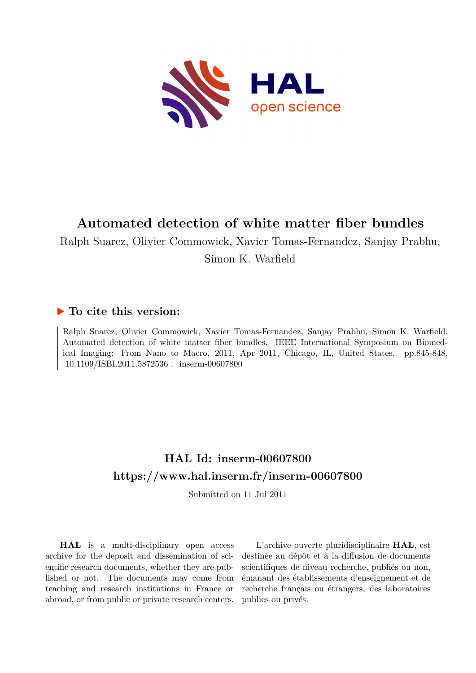

# **Automated detection of white matter fiber bundles**

Ralph Suarez, Olivier Commowick, Xavier Tomas-Fernandez, Sanjay Prabhu,

Simon K. Warfield

# **To cite this version:**

Ralph Suarez, Olivier Commowick, Xavier Tomas-Fernandez, Sanjay Prabhu, Simon K. Warfield. Automated detection of white matter fiber bundles. IEEE International Symposium on Biomedical Imaging: From Nano to Macro, 2011, Apr 2011, Chicago, IL, United States. pp.845-848,  $10.1109/\mathrm{ISBI}.2011.5872536$  .  $% 10.1109/\mathrm{ISBI}.2011.5872536$  .

# **HAL Id: inserm-00607800 <https://www.hal.inserm.fr/inserm-00607800>**

Submitted on 11 Jul 2011

**HAL** is a multi-disciplinary open access archive for the deposit and dissemination of scientific research documents, whether they are published or not. The documents may come from teaching and research institutions in France or abroad, or from public or private research centers.

L'archive ouverte pluridisciplinaire **HAL**, est destinée au dépôt et à la diffusion de documents scientifiques de niveau recherche, publiés ou non, émanant des établissements d'enseignement et de recherche français ou étrangers, des laboratoires publics ou privés.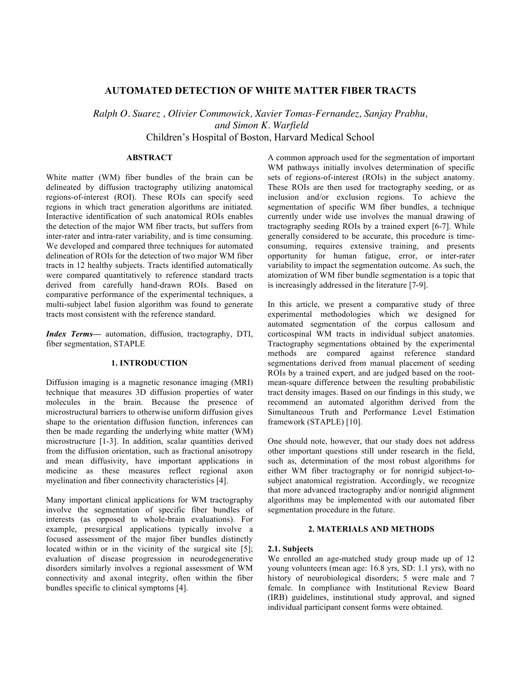### **AUTOMATED DETECTION OF WHITE MATTER FIBER TRACTS**

*Ralph O. Suarez , Olivier Commowick, Xavier Tomas-Fernandez, Sanjay Prabhu, and Simon K. Warfield*

Children's Hospital of Boston, Harvard Medical School

### **ABSTRACT**

White matter (WM) fiber bundles of the brain can be delineated by diffusion tractography utilizing anatomical regions-of-interest (ROI). These ROIs can specify seed regions in which tract generation algorithms are initiated. Interactive identification of such anatomical ROIs enables the detection of the major WM fiber tracts, but suffers from inter-rater and intra-rater variability, and is time consuming. We developed and compared three techniques for automated delineation of ROIs for the detection of two major WM fiber tracts in 12 healthy subjects. Tracts identified automatically were compared quantitatively to reference standard tracts derived from carefully hand-drawn ROIs. Based on comparative performance of the experimental techniques, a multi-subject label fusion algorithm was found to generate tracts most consistent with the reference standard.

*Index Terms—* automation, diffusion, tractography, DTI, fiber segmentation, STAPLE

#### **1. INTRODUCTION**

Diffusion imaging is a magnetic resonance imaging (MRI) technique that measures 3D diffusion properties of water molecules in the brain. Because the presence of microstructural barriers to otherwise uniform diffusion gives shape to the orientation diffusion function, inferences can then be made regarding the underlying white matter (WM) microstructure [1-3]. In addition, scalar quantities derived from the diffusion orientation, such as fractional anisotropy and mean diffusivity, have important applications in medicine as these measures reflect regional axon myelination and fiber connectivity characteristics [4].

Many important clinical applications for WM tractography involve the segmentation of specific fiber bundles of interests (as opposed to whole-brain evaluations). For example, presurgical applications typically involve a focused assessment of the major fiber bundles distinctly located within or in the vicinity of the surgical site [5]; evaluation of disease progression in neurodegenerative disorders similarly involves a regional assessment of WM connectivity and axonal integrity, often within the fiber bundles specific to clinical symptoms [4].

A common approach used for the segmentation of important WM pathways initially involves determination of specific sets of regions-of-interest (ROIs) in the subject anatomy. These ROIs are then used for tractography seeding, or as inclusion and/or exclusion regions. To achieve the segmentation of specific WM fiber bundles, a technique currently under wide use involves the manual drawing of tractography seeding ROIs by a trained expert [6-7]. While generally considered to be accurate, this procedure is timeconsuming, requires extensive training, and presents opportunity for human fatigue, error, or inter-rater variability to impact the segmentation outcome. As such, the atomization of WM fiber bundle segmentation is a topic that is increasingly addressed in the literature [7-9].

In this article, we present a comparative study of three experimental methodologies which we designed for automated segmentation of the corpus callosum and corticospinal WM tracts in individual subject anatomies. Tractography segmentations obtained by the experimental methods are compared against reference standard segmentations derived from manual placement of seeding ROIs by a trained expert, and are judged based on the rootmean-square difference between the resulting probabilistic tract density images. Based on our findings in this study, we recommend an automated algorithm derived from the Simultaneous Truth and Performance Level Estimation framework (STAPLE) [10].

One should note, however, that our study does not address other important questions still under research in the field, such as, determination of the most robust algorithms for either WM fiber tractography or for nonrigid subject-tosubject anatomical registration. Accordingly, we recognize that more advanced tractography and/or nonrigid alignment algorithms may be implemented with our automated fiber segmentation procedure in the future.

#### **2. MATERIALS AND METHODS**

#### **2.1. Subjects**

We enrolled an age-matched study group made up of 12 young volunteers (mean age: 16.8 yrs, SD: 1.1 yrs), with no history of neurobiological disorders; 5 were male and 7 female. In compliance with Institutional Review Board (IRB) guidelines, institutional study approval, and signed individual participant consent forms were obtained.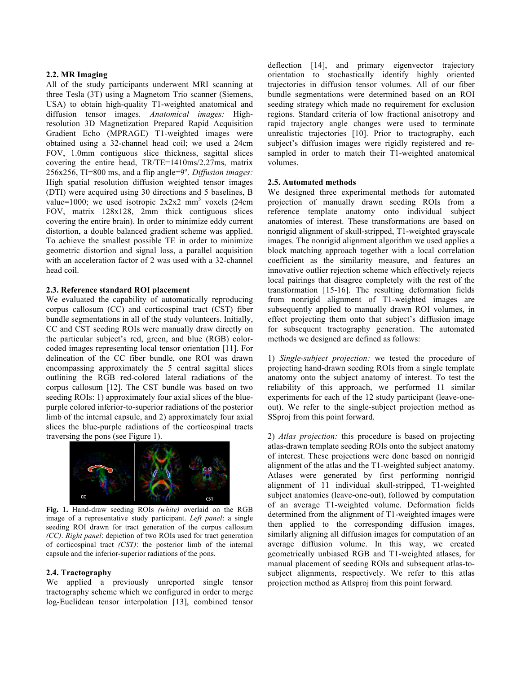#### **2.2. MR Imaging**

All of the study participants underwent MRI scanning at three Tesla (3T) using a Magnetom Trio scanner (Siemens, USA) to obtain high-quality T1-weighted anatomical and diffusion tensor images. *Anatomical images:* Highresolution 3D Magnetization Prepared Rapid Acquisition Gradient Echo (MPRAGE) T1-weighted images were obtained using a 32-channel head coil; we used a 24cm FOV, 1.0mm contiguous slice thickness, sagittal slices covering the entire head, TR/TE=1410ms/2.27ms, matrix  $256x256$ , TI=800 ms, and a flip angle= $9^\circ$ . *Diffusion images:* High spatial resolution diffusion weighted tensor images (DTI) were acquired using 30 directions and 5 baselines, B value=1000; we used isotropic  $2x2x2$  mm<sup>3</sup> voxels (24cm) FOV, matrix 128x128, 2mm thick contiguous slices covering the entire brain). In order to minimize eddy current distortion, a double balanced gradient scheme was applied. To achieve the smallest possible TE in order to minimize geometric distortion and signal loss, a parallel acquisition with an acceleration factor of 2 was used with a 32-channel head coil.

#### **2.3. Reference standard ROI placement**

We evaluated the capability of automatically reproducing corpus callosum (CC) and corticospinal tract (CST) fiber bundle segmentations in all of the study volunteers. Initially, CC and CST seeding ROIs were manually draw directly on the particular subject's red, green, and blue (RGB) colorcoded images representing local tensor orientation [11]. For delineation of the CC fiber bundle, one ROI was drawn encompassing approximately the 5 central sagittal slices outlining the RGB red-colored lateral radiations of the corpus callosum [12]. The CST bundle was based on two seeding ROIs: 1) approximately four axial slices of the bluepurple colored inferior-to-superior radiations of the posterior limb of the internal capsule, and 2) approximately four axial slices the blue-purple radiations of the corticospinal tracts traversing the pons (see Figure 1).



**Fig. 1.** Hand-draw seeding ROIs *(white)* overlaid on the RGB image of a representative study participant. *Left panel*: a single seeding ROI drawn for tract generation of the corpus callosum *(CC)*. *Right panel*: depiction of two ROIs used for tract generation of corticospinal tract *(CST)*: the posterior limb of the internal capsule and the inferior-superior radiations of the pons.

#### **2.4. Tractography**

We applied a previously unreported single tensor tractography scheme which we configured in order to merge log-Euclidean tensor interpolation [13], combined tensor deflection [14], and primary eigenvector trajectory orientation to stochastically identify highly oriented trajectories in diffusion tensor volumes. All of our fiber bundle segmentations were determined based on an ROI seeding strategy which made no requirement for exclusion regions. Standard criteria of low fractional anisotropy and rapid trajectory angle changes were used to terminate unrealistic trajectories [10]. Prior to tractography, each subject's diffusion images were rigidly registered and resampled in order to match their T1-weighted anatomical volumes.

#### **2.5. Automated methods**

We designed three experimental methods for automated projection of manually drawn seeding ROIs from a reference template anatomy onto individual subject anatomies of interest. These transformations are based on nonrigid alignment of skull-stripped, T1-weighted grayscale images. The nonrigid alignment algorithm we used applies a block matching approach together with a local correlation coefficient as the similarity measure, and features an innovative outlier rejection scheme which effectively rejects local pairings that disagree completely with the rest of the transformation [15-16]. The resulting deformation fields from nonrigid alignment of T1-weighted images are subsequently applied to manually drawn ROI volumes, in effect projecting them onto that subject's diffusion image for subsequent tractography generation. The automated methods we designed are defined as follows:

1) *Single-subject projection:* we tested the procedure of projecting hand-drawn seeding ROIs from a single template anatomy onto the subject anatomy of interest. To test the reliability of this approach, we performed 11 similar experiments for each of the 12 study participant (leave-oneout). We refer to the single-subject projection method as SSproj from this point forward.

2) *Atlas projection:* this procedure is based on projecting atlas-drawn template seeding ROIs onto the subject anatomy of interest. These projections were done based on nonrigid alignment of the atlas and the T1-weighted subject anatomy. Atlases were generated by first performing nonrigid alignment of 11 individual skull-stripped, T1-weighted subject anatomies (leave-one-out), followed by computation of an average T1-weighted volume. Deformation fields determined from the alignment of T1-weighted images were then applied to the corresponding diffusion images, similarly aligning all diffusion images for computation of an average diffusion volume. In this way, we created geometrically unbiased RGB and T1-weighted atlases, for manual placement of seeding ROIs and subsequent atlas-tosubject alignments, respectively. We refer to this atlas projection method as Atlsproj from this point forward.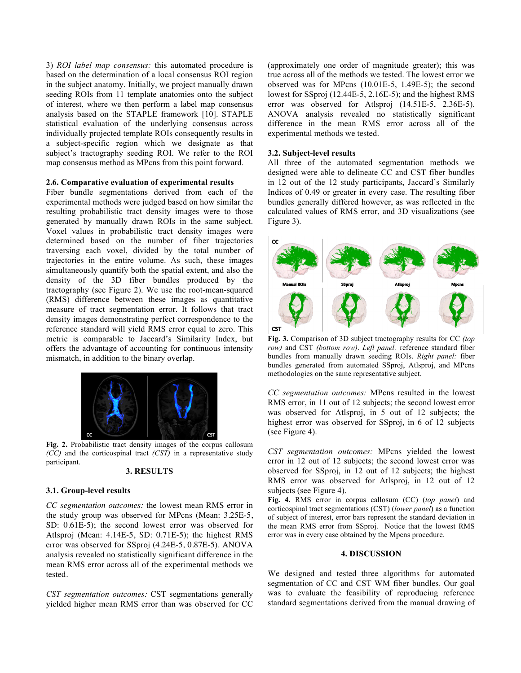3) *ROI label map consensus:* this automated procedure is based on the determination of a local consensus ROI region in the subject anatomy. Initially, we project manually drawn seeding ROIs from 11 template anatomies onto the subject of interest, where we then perform a label map consensus analysis based on the STAPLE framework [10]. STAPLE statistical evaluation of the underlying consensus across individually projected template ROIs consequently results in a subject-specific region which we designate as that subject's tractography seeding ROI. We refer to the ROI map consensus method as MPcns from this point forward.

## **2.6. Comparative evaluation of experimental results**

Fiber bundle segmentations derived from each of the experimental methods were judged based on how similar the resulting probabilistic tract density images were to those generated by manually drawn ROIs in the same subject. Voxel values in probabilistic tract density images were determined based on the number of fiber trajectories traversing each voxel, divided by the total number of trajectories in the entire volume. As such, these images simultaneously quantify both the spatial extent, and also the density of the 3D fiber bundles produced by the tractography (see Figure 2). We use the root-mean-squared (RMS) difference between these images as quantitative measure of tract segmentation error. It follows that tract density images demonstrating perfect correspondence to the reference standard will yield RMS error equal to zero. This metric is comparable to Jaccard's Similarity Index, but offers the advantage of accounting for continuous intensity mismatch, in addition to the binary overlap.



**Fig. 2.** Probabilistic tract density images of the corpus callosum *(CC)* and the corticospinal tract *(CST)* in a representative study participant.

#### **3. RESULTS**

#### **3.1. Group-level results**

*CC segmentation outcomes:* the lowest mean RMS error in the study group was observed for MPcns (Mean: 3.25E-5, SD: 0.61E-5); the second lowest error was observed for Atlsproj (Mean: 4.14E-5, SD: 0.71E-5); the highest RMS error was observed for SSproj (4.24E-5, 0.87E-5). ANOVA analysis revealed no statistically significant difference in the mean RMS error across all of the experimental methods we tested.

*CST segmentation outcomes:* CST segmentations generally yielded higher mean RMS error than was observed for CC

(approximately one order of magnitude greater); this was true across all of the methods we tested. The lowest error we observed was for MPcns (10.01E-5, 1.49E-5); the second lowest for SSproj (12.44E-5, 2.16E-5); and the highest RMS error was observed for Atlsproj (14.51E-5, 2.36E-5). ANOVA analysis revealed no statistically significant difference in the mean RMS error across all of the experimental methods we tested.

#### **3.2. Subject-level results**

All three of the automated segmentation methods we designed were able to delineate CC and CST fiber bundles in 12 out of the 12 study participants, Jaccard's Similarly Indices of 0.49 or greater in every case. The resulting fiber bundles generally differed however, as was reflected in the calculated values of RMS error, and 3D visualizations (see Figure 3).



**Fig. 3.** Comparison of 3D subject tractography results for CC *(top row)* and CST *(bottom row)*. *Left panel:* reference standard fiber bundles from manually drawn seeding ROIs. *Right panel:* fiber bundles generated from automated SSproj, Atlsproj, and MPcns methodologies on the same representative subject.

*CC segmentation outcomes:* MPcns resulted in the lowest RMS error, in 11 out of 12 subjects; the second lowest error was observed for Atlsproj, in 5 out of 12 subjects; the highest error was observed for SSproj, in 6 of 12 subjects (see Figure 4).

*CST segmentation outcomes:* MPcns yielded the lowest error in 12 out of 12 subjects; the second lowest error was observed for SSproj, in 12 out of 12 subjects; the highest RMS error was observed for Atlsproj, in 12 out of 12 subjects (see Figure 4).

**Fig. 4.** RMS error in corpus callosum (CC) (*top panel*) and corticospinal tract segmentations (CST) (*lower panel*) as a function of subject of interest, error bars represent the standard deviation in the mean RMS error from SSproj. Notice that the lowest RMS error was in every case obtained by the Mpcns procedure.

#### **4. DISCUSSION**

We designed and tested three algorithms for automated segmentation of CC and CST WM fiber bundles. Our goal was to evaluate the feasibility of reproducing reference standard segmentations derived from the manual drawing of